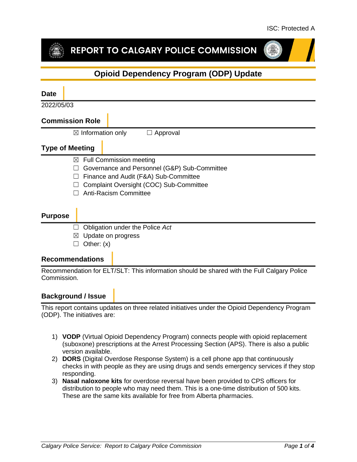# REPORT TO CALGARY POLICE COMMISSION



# **Opioid Dependency Program (ODP) Update**

# **Date** 2022/05/03 **Commission Role**  $\boxtimes$  Information only  $\Box$  Approval **Type of Meeting**  $\boxtimes$  Full Commission meeting ☐ Governance and Personnel (G&P) Sub-Committee ☐ Finance and Audit (F&A) Sub-Committee ☐ Complaint Oversight (COC) Sub-Committee ☐ Anti-Racism Committee **Purpose** ☐ Obligation under the Police *Act*  $\boxtimes$  Update on progress  $\Box$  Other:  $(x)$ **Recommendations**

Recommendation for ELT/SLT: This information should be shared with the Full Calgary Police Commission.

# **Background / Issue**

This report contains updates on three related initiatives under the Opioid Dependency Program (ODP). The initiatives are:

- 1) **VODP** (Virtual Opioid Dependency Program) connects people with opioid replacement (suboxone) prescriptions at the Arrest Processing Section (APS). There is also a public version available.
- 2) **DORS** (Digital Overdose Response System) is a cell phone app that continuously checks in with people as they are using drugs and sends emergency services if they stop responding.
- 3) **Nasal naloxone kits** for overdose reversal have been provided to CPS officers for distribution to people who may need them. This is a one-time distribution of 500 kits. These are the same kits available for free from Alberta pharmacies.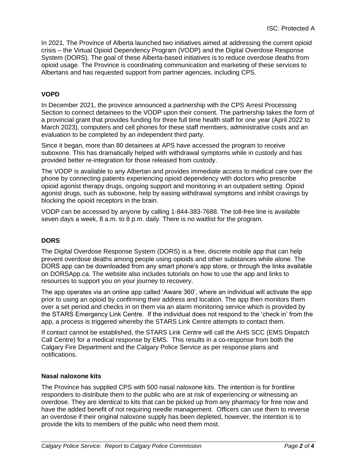In 2021, The Province of Alberta launched two initiatives aimed at addressing the current opioid crisis – the Virtual Opioid Dependency Program (VODP) and the Digital Overdose Response System (DORS). The goal of these Alberta-based initiatives is to reduce overdose deaths from opioid usage. The Province is coordinating communication and marketing of these services to Albertans and has requested support from partner agencies, including CPS.

## **VOPD**

In December 2021, the province announced a partnership with the CPS Arrest Processing Section to connect detainees to the VODP upon their consent. The partnership takes the form of a provincial grant that provides funding for three full time health staff for one year (April 2022 to March 2023), computers and cell phones for these staff members, administrative costs and an evaluation to be completed by an independent third party.

Since it began, more than 80 detainees at APS have accessed the program to receive suboxone. This has dramatically helped with withdrawal symptoms while in custody and has provided better re-integration for those released from custody.

The VODP is available to any Albertan and provides immediate access to medical care over the phone by connecting patients experiencing opioid dependency with doctors who prescribe opioid agonist therapy drugs, ongoing support and monitoring in an outpatient setting. Opioid agonist drugs, such as suboxone, help by easing withdrawal symptoms and inhibit cravings by blocking the opioid receptors in the brain.

VODP can be accessed by anyone by calling 1-844-383-7688. The toll-free line is available seven days a week, 8 a.m. to 8 p.m. daily. There is no waitlist for the program.

#### **DORS**

The Digital Overdose Response System (DORS) is a free, discrete mobile app that can help prevent overdose deaths among people using opioids and other substances while alone. The DORS app can be downloaded from any smart phone's app store, or through the links available on DORSApp.ca. The website also includes tutorials on how to use the app and links to resources to support you on your journey to recovery.

The app operates via an online app called 'Aware 360', where an individual will activate the app prior to using an opioid by confirming their address and location. The app then monitors them over a set period and checks in on them via an alarm monitoring service which is provided by the STARS Emergency Link Centre. If the individual does not respond to the 'check in' from the app, a process is triggered whereby the STARS Link Centre attempts to contact them.

If contact cannot be established, the STARS Link Centre will call the AHS SCC (EMS Dispatch Call Centre) for a medical response by EMS. This results in a co-response from both the Calgary Fire Department and the Calgary Police Service as per response plans and notifications.

#### **Nasal naloxone kits**

The Province has supplied CPS with 500 nasal naloxone kits. The intention is for frontline responders to distribute them to the public who are at risk of experiencing or witnessing an overdose. They are identical to kits that can be picked up from any pharmacy for free now and have the added benefit of not requiring needle management. Officers can use them to reverse an overdose if their original naloxone supply has been depleted, however, the intention is to provide the kits to members of the public who need them most.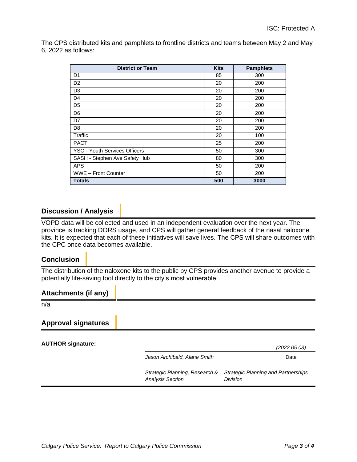The CPS distributed kits and pamphlets to frontline districts and teams between May 2 and May 6, 2022 as follows:

| <b>District or Team</b>       | <b>Kits</b> | <b>Pamphlets</b> |
|-------------------------------|-------------|------------------|
| D <sub>1</sub>                | 85          | 300              |
| D <sub>2</sub>                | 20          | 200              |
| D <sub>3</sub>                | 20          | 200              |
| D4                            | 20          | 200              |
| D <sub>5</sub>                | 20          | 200              |
| D <sub>6</sub>                | 20          | 200              |
| D7                            | 20          | 200              |
| D8                            | 20          | 200              |
| Traffic                       | 20          | 100              |
| <b>PACT</b>                   | 25          | 200              |
| YSO - Youth Services Officers | 50          | 300              |
| SASH - Stephen Ave Safety Hub | 80          | 300              |
| <b>APS</b>                    | 50          | 200              |
| WWE - Front Counter           | 50          | 200              |
| <b>Totals</b>                 | 500         | 3000             |

## **Discussion / Analysis**

VOPD data will be collected and used in an independent evaluation over the next year. The province is tracking DORS usage, and CPS will gather general feedback of the nasal naloxone kits. It is expected that each of these initiatives will save lives. The CPS will share outcomes with the CPC once data becomes available.

## **Conclusion**

The distribution of the naloxone kits to the public by CPS provides another avenue to provide a potentially life-saving tool directly to the city's most vulnerable.

| <b>Attachments (if any)</b> |                                                           |                                                               |  |
|-----------------------------|-----------------------------------------------------------|---------------------------------------------------------------|--|
| n/a                         |                                                           |                                                               |  |
| <b>Approval signatures</b>  |                                                           |                                                               |  |
| <b>AUTHOR signature:</b>    |                                                           | (2022 05 03)                                                  |  |
|                             | Jason Archibald, Alane Smith                              | Date                                                          |  |
|                             | Strategic Planning, Research &<br><b>Analysis Section</b> | <b>Strategic Planning and Partnerships</b><br><b>Division</b> |  |
|                             |                                                           |                                                               |  |